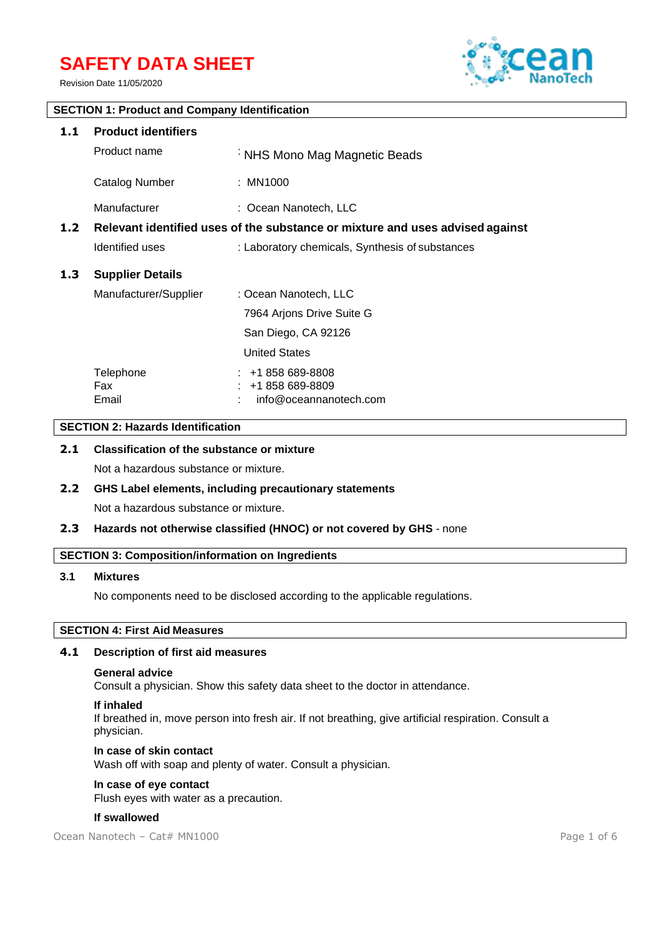# **SAFETY DATA SHEET**

Revision Date 11/05/2020



# **SECTION 1: Product and Company Identification 1.1 Product identifiers** Product name : NHS Mono Mag Magnetic Beads Catalog Number : MN1000 Manufacturer : Coean Nanotech, LLC **1.2 Relevant identified uses of the substance or mixture and uses advised against** Identified uses : Laboratory chemicals, Synthesis of substances **1.3 Supplier Details** Manufacturer/Supplier : Ocean Nanotech, LLC 7964 Arjons Drive Suite G San Diego, CA 92126 United States Telephone : +1 858 689-8808 Fax : +1 858 689-8809 Email : info@oceannanotech.com

# **SECTION 2: Hazards Identification**

# **2.1 Classification of the substance or mixture**

Not a hazardous substance or mixture.

# **2.2 GHS Label elements, including precautionary statements** Not a hazardous substance or mixture.

# **2.3 Hazards not otherwise classified (HNOC) or not covered by GHS** - none

# **SECTION 3: Composition/information on Ingredients**

#### **3.1 Mixtures**

No components need to be disclosed according to the applicable regulations.

# **SECTION 4: First Aid Measures**

#### **4.1 Description of first aid measures**

#### **General advice**

Consult a physician. Show this safety data sheet to the doctor in attendance.

#### **If inhaled**

If breathed in, move person into fresh air. If not breathing, give artificial respiration. Consult a physician.

# **In case of skin contact**

Wash off with soap and plenty of water. Consult a physician.

# **In case of eye contact**

Flush eyes with water as a precaution.

#### **If swallowed**

Ocean Nanotech – Cat# MN1000 Page 1 of 6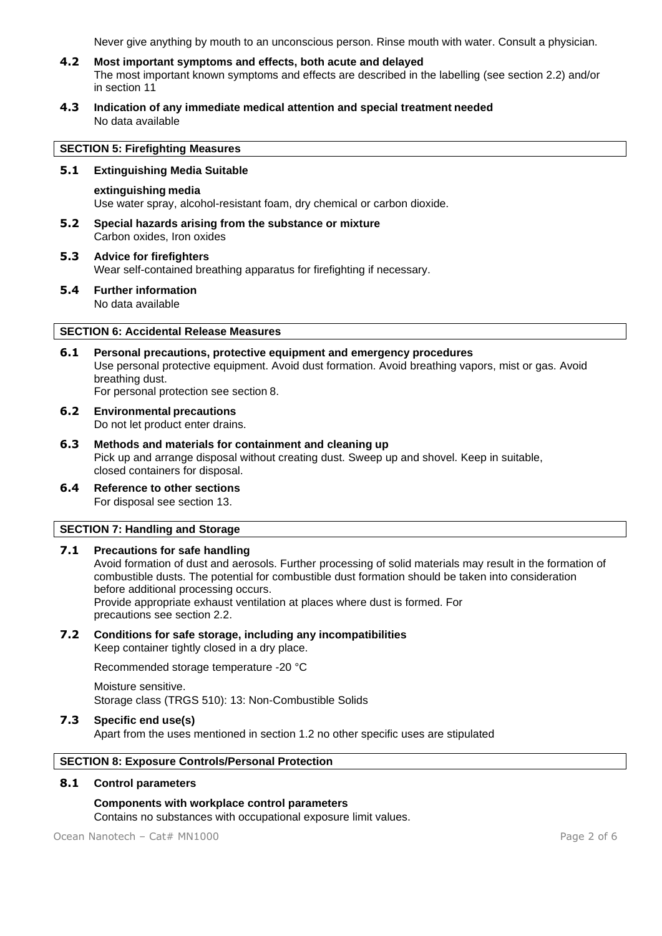Never give anything by mouth to an unconscious person. Rinse mouth with water. Consult a physician.

- **4.2 Most important symptoms and effects, both acute and delayed** The most important known symptoms and effects are described in the labelling (see section 2.2) and/or in section 11
- **4.3 Indication of any immediate medical attention and special treatment needed** No data available

# **SECTION 5: Firefighting Measures**

# **5.1 Extinguishing Media Suitable**

#### **extinguishing media**

Use water spray, alcohol-resistant foam, dry chemical or carbon dioxide.

- **5.2 Special hazards arising from the substance or mixture** Carbon oxides, Iron oxides
- **5.3 Advice for firefighters** Wear self-contained breathing apparatus for firefighting if necessary.
- **5.4 Further information** No data available

# **SECTION 6: Accidental Release Measures**

- **6.1 Personal precautions, protective equipment and emergency procedures** Use personal protective equipment. Avoid dust formation. Avoid breathing vapors, mist or gas. Avoid breathing dust. For personal protection see section 8.
- **6.2 Environmental precautions** Do not let product enter drains.
- **6.3 Methods and materials for containment and cleaning up** Pick up and arrange disposal without creating dust. Sweep up and shovel. Keep in suitable, closed containers for disposal.
- **6.4 Reference to other sections** For disposal see section 13.

# **SECTION 7: Handling and Storage**

#### **7.1 Precautions for safe handling**

Avoid formation of dust and aerosols. Further processing of solid materials may result in the formation of combustible dusts. The potential for combustible dust formation should be taken into consideration before additional processing occurs. Provide appropriate exhaust ventilation at places where dust is formed. For precautions see section 2.2.

#### **7.2 Conditions for safe storage, including any incompatibilities** Keep container tightly closed in a dry place.

Recommended storage temperature -20 °C

Moisture sensitive. Storage class (TRGS 510): 13: Non-Combustible Solids

#### **7.3 Specific end use(s)**

Apart from the uses mentioned in section 1.2 no other specific uses are stipulated

# **SECTION 8: Exposure Controls/Personal Protection**

# **8.1 Control parameters**

# **Components with workplace control parameters**

Contains no substances with occupational exposure limit values.

Ocean Nanotech – Cat# MN1000 Page 2 of 6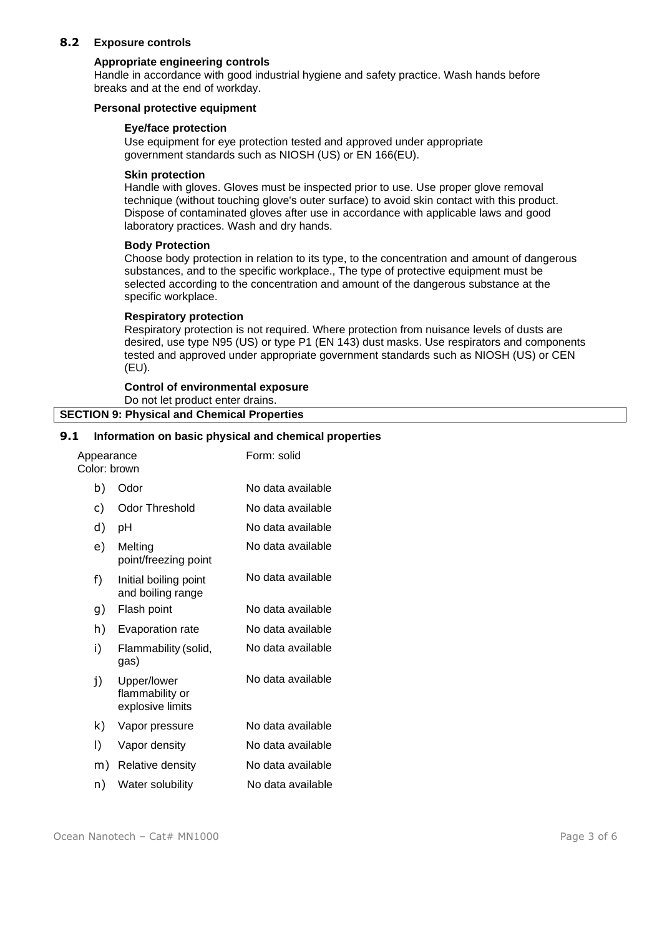# **8.2 Exposure controls**

#### **Appropriate engineering controls**

Handle in accordance with good industrial hygiene and safety practice. Wash hands before breaks and at the end of workday.

#### **Personal protective equipment**

# **Eye/face protection**

Use equipment for eye protection tested and approved under appropriate government standards such as NIOSH (US) or EN 166(EU).

#### **Skin protection**

Handle with gloves. Gloves must be inspected prior to use. Use proper glove removal technique (without touching glove's outer surface) to avoid skin contact with this product. Dispose of contaminated gloves after use in accordance with applicable laws and good laboratory practices. Wash and dry hands.

#### **Body Protection**

Choose body protection in relation to its type, to the concentration and amount of dangerous substances, and to the specific workplace., The type of protective equipment must be selected according to the concentration and amount of the dangerous substance at the specific workplace.

#### **Respiratory protection**

Respiratory protection is not required. Where protection from nuisance levels of dusts are desired, use type N95 (US) or type P1 (EN 143) dust masks. Use respirators and components tested and approved under appropriate government standards such as NIOSH (US) or CEN (EU).

#### **Control of environmental exposure** Do not let product enter drains. **SECTION 9: Physical and Chemical Properties**

# **9.1 Information on basic physical and chemical properties**

| Appearance<br>Color: brown |                                                    | Form: solid       |
|----------------------------|----------------------------------------------------|-------------------|
| b)                         | Odor                                               | No data available |
| c)                         | <b>Odor Threshold</b>                              | No data available |
| d)                         | pH                                                 | No data available |
| e)                         | Melting<br>point/freezing point                    | No data available |
| f)                         | Initial boiling point<br>and boiling range         | No data available |
| g)                         | Flash point                                        | No data available |
| h)                         | Evaporation rate                                   | No data available |
| i)                         | Flammability (solid,<br>gas)                       | No data available |
| j)                         | Upper/lower<br>flammability or<br>explosive limits | No data available |
| k)                         | Vapor pressure                                     | No data available |
| I)                         | Vapor density                                      | No data available |
| m)                         | Relative density                                   | No data available |
| n)                         | Water solubility                                   | No data available |
|                            |                                                    |                   |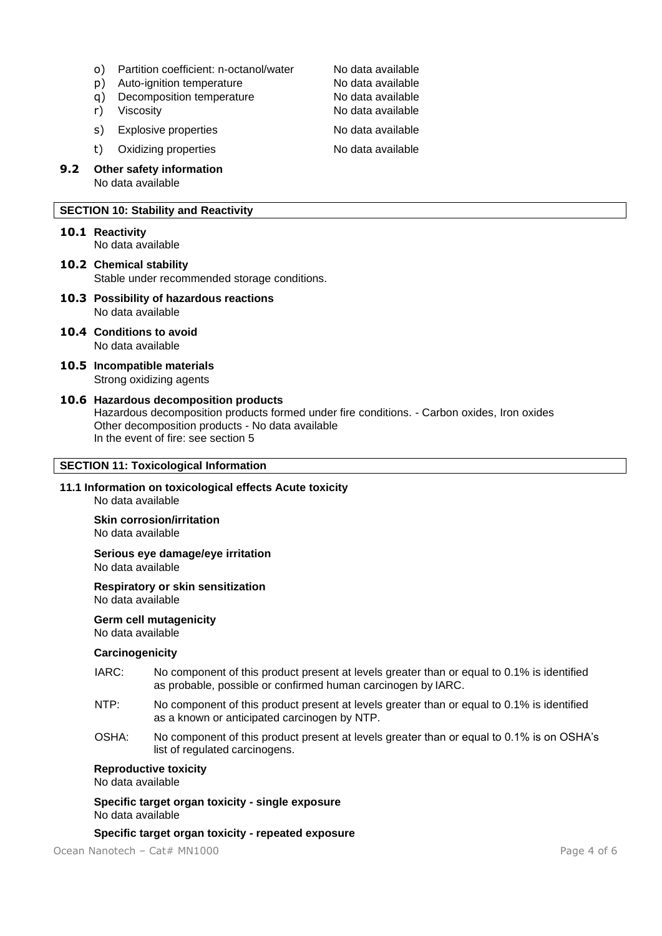- o) Partition coefficient: n-octanol/water Mo data available<br>
n) Auto-ignition temperature No data available
- p) Auto-ignition temperature
- q) Decomposition temperature No data available
- 
- s) Explosive properties No data available

t) Oxidizing properties No data available

**9.2 Other safety information** No data available

# **SECTION 10: Stability and Reactivity**

**10.1 Reactivity**

No data available

**10.2 Chemical stability** Stable under recommended storage conditions.

- **10.3 Possibility of hazardous reactions** No data available
- **10.4 Conditions to avoid** No data available
- **10.5 Incompatible materials** Strong oxidizing agents
- **10.6 Hazardous decomposition products** Hazardous decomposition products formed under fire conditions. - Carbon oxides, Iron oxides Other decomposition products - No data available In the event of fire: see section 5

# **SECTION 11: Toxicological Information**

**11.1 Information on toxicological effects Acute toxicity** No data available

**Skin corrosion/irritation**

No data available

**Serious eye damage/eye irritation** No data available

**Respiratory or skin sensitization** No data available

**Germ cell mutagenicity**

No data available

# **Carcinogenicity**

- IARC: No component of this product present at levels greater than or equal to 0.1% is identified as probable, possible or confirmed human carcinogen by IARC.
- NTP: No component of this product present at levels greater than or equal to 0.1% is identified as a known or anticipated carcinogen by NTP.
- OSHA: No component of this product present at levels greater than or equal to 0.1% is on OSHA's list of regulated carcinogens.

# **Reproductive toxicity**

No data available

**Specific target organ toxicity - single exposure** No data available

# **Specific target organ toxicity - repeated exposure**

Ocean Nanotech – Cat# MN1000 Page 4 of 6

r) Viscosity **No data available**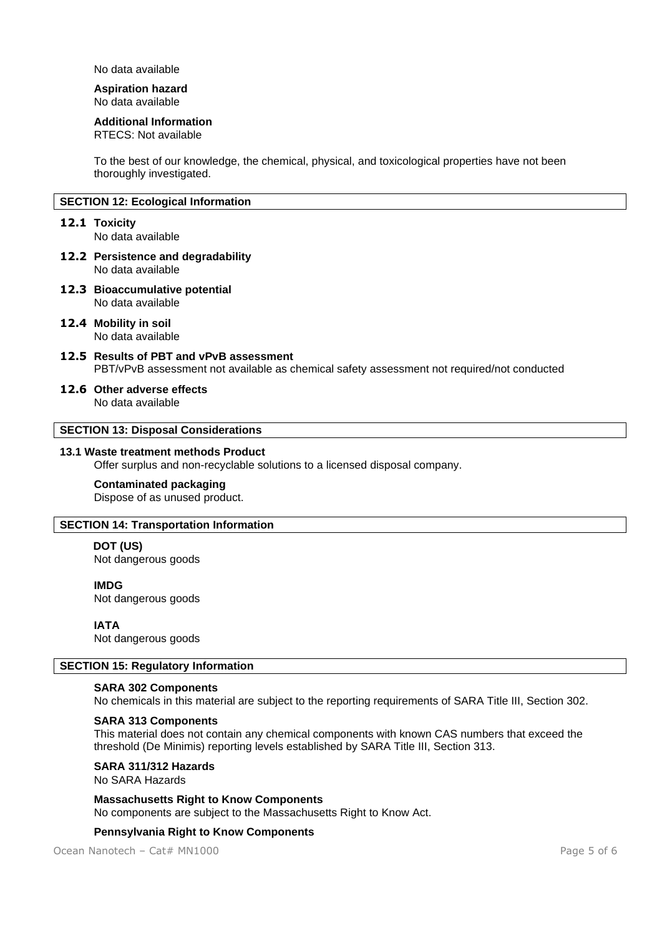No data available

# **Aspiration hazard**

No data available

## **Additional Information**

RTECS: Not available

To the best of our knowledge, the chemical, physical, and toxicological properties have not been thoroughly investigated.

# **SECTION 12: Ecological Information**

#### **12.1 Toxicity**

No data available

- **12.2 Persistence and degradability** No data available
- **12.3 Bioaccumulative potential** No data available
- **12.4 Mobility in soil** No data available
- **12.5 Results of PBT and vPvB assessment** PBT/vPvB assessment not available as chemical safety assessment not required/not conducted

#### **12.6 Other adverse effects**

No data available

# **SECTION 13: Disposal Considerations**

#### **13.1 Waste treatment methods Product**

Offer surplus and non-recyclable solutions to a licensed disposal company.

#### **Contaminated packaging**

Dispose of as unused product.

## **SECTION 14: Transportation Information**

# **DOT (US)**

Not dangerous goods

## **IMDG**

Not dangerous goods

# **IATA**

Not dangerous goods

#### **SECTION 15: Regulatory Information**

# **SARA 302 Components**

No chemicals in this material are subject to the reporting requirements of SARA Title III, Section 302.

#### **SARA 313 Components**

This material does not contain any chemical components with known CAS numbers that exceed the threshold (De Minimis) reporting levels established by SARA Title III, Section 313.

**SARA 311/312 Hazards**

No SARA Hazards

**Massachusetts Right to Know Components** No components are subject to the Massachusetts Right to Know Act.

#### **Pennsylvania Right to Know Components**